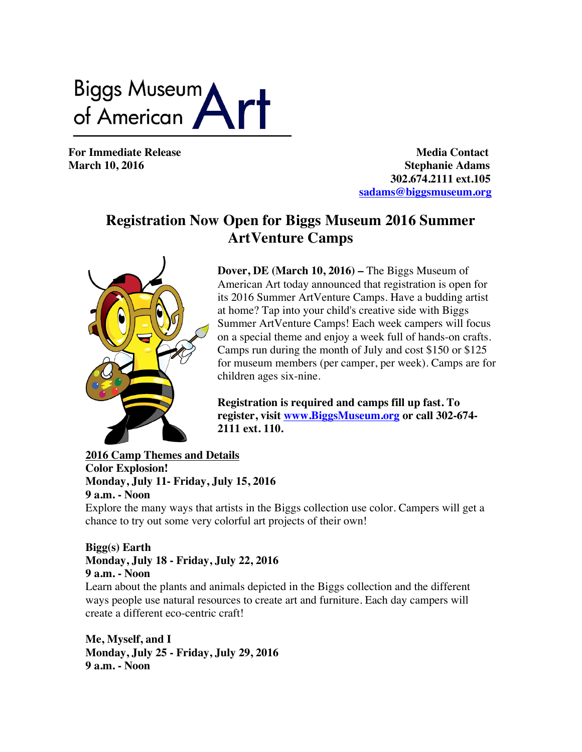Biggs Museum<br>of American

**For Immediate Release Media Contact March 10, 2016** Stephanie Adams  **302.674.2111 ext.105 sadams@biggsmuseum.org**

## **Registration Now Open for Biggs Museum 2016 Summer ArtVenture Camps**



**Dover, DE (March 10, 2016) –** The Biggs Museum of American Art today announced that registration is open for its 2016 Summer ArtVenture Camps. Have a budding artist at home? Tap into your child's creative side with Biggs Summer ArtVenture Camps! Each week campers will focus on a special theme and enjoy a week full of hands-on crafts. Camps run during the month of July and cost \$150 or \$125 for museum members (per camper, per week). Camps are for children ages six-nine.

**Registration is required and camps fill up fast. To register, visit www.BiggsMuseum.org or call 302-674- 2111 ext. 110.**

**2016 Camp Themes and Details Color Explosion! Monday, July 11- Friday, July 15, 2016 9 a.m. - Noon**

Explore the many ways that artists in the Biggs collection use color. Campers will get a chance to try out some very colorful art projects of their own!

## **Bigg(s) Earth Monday, July 18 - Friday, July 22, 2016 9 a.m. - Noon**

Learn about the plants and animals depicted in the Biggs collection and the different ways people use natural resources to create art and furniture. Each day campers will create a different eco-centric craft!

**Me, Myself, and I Monday, July 25 - Friday, July 29, 2016 9 a.m. - Noon**